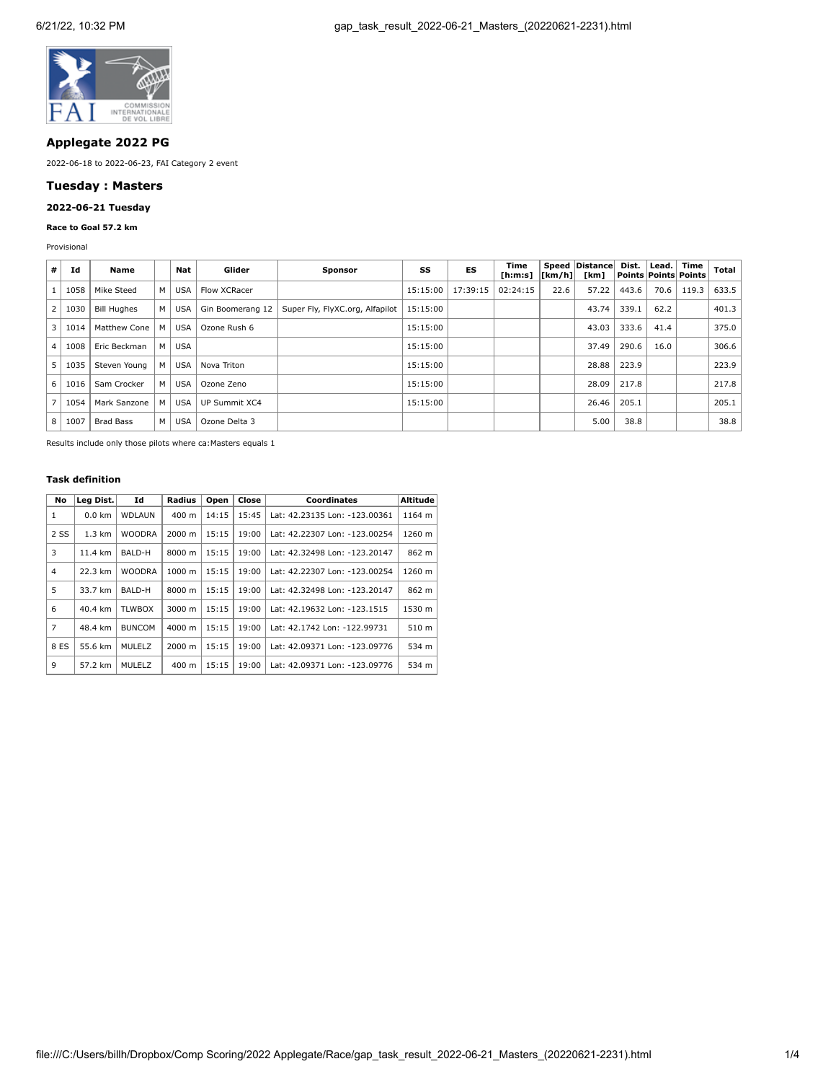

# **Applegate 2022 PG**

2022-06-18 to 2022-06-23, FAI Category 2 event

## **Tuesday : Masters**

# **2022-06-21 Tuesday**

### **Race to Goal 57.2 km**

Provisional

| #              | Id       | Name               |     | Nat        | Glider           | <b>Sponsor</b>                  | SS       | ES       | Time<br>[h:m:s] | [km/h] | Speed   Distance <br>[km] | Dist.<br>  Points   Points   Points | Lead. | Time  | Total |
|----------------|----------|--------------------|-----|------------|------------------|---------------------------------|----------|----------|-----------------|--------|---------------------------|-------------------------------------|-------|-------|-------|
|                | 1058     | Mike Steed         | M   | <b>USA</b> | Flow XCRacer     |                                 | 15:15:00 | 17:39:15 | 02:24:15        | 22.6   | 57.22                     | 443.6                               | 70.6  | 119.3 | 633.5 |
| 2 <sub>1</sub> | 1030     | <b>Bill Hughes</b> | M   | USA        | Gin Boomerang 12 | Super Fly, FlyXC.org, Alfapilot | 15:15:00 |          |                 |        | 43.74                     | 339.1                               | 62.2  |       | 401.3 |
| 3 I            | 1014     | Matthew Cone       | м   | <b>USA</b> | Ozone Rush 6     |                                 | 15:15:00 |          |                 |        | 43.03                     | 333.6                               | 41.4  |       | 375.0 |
| 4              | 1008     | Eric Beckman       | M I | <b>USA</b> |                  |                                 | 15:15:00 |          |                 |        | 37.49                     | 290.6                               | 16.0  |       | 306.6 |
| 5              | 1035     | Steven Young       | M   | <b>USA</b> | Nova Triton      |                                 | 15:15:00 |          |                 |        | 28.88                     | 223.9                               |       |       | 223.9 |
|                | 6   1016 | Sam Crocker        | M   | <b>USA</b> | Ozone Zeno       |                                 | 15:15:00 |          |                 |        | 28.09                     | 217.8                               |       |       | 217.8 |
|                | 7   1054 | Mark Sanzone       | м   | <b>USA</b> | UP Summit XC4    |                                 | 15:15:00 |          |                 |        | 26.46                     | 205.1                               |       |       | 205.1 |
|                | 8   1007 | <b>Brad Bass</b>   | M   | <b>USA</b> | Ozone Delta 3    |                                 |          |          |                 |        | 5.00                      | 38.8                                |       |       | 38.8  |

Results include only those pilots where ca:Masters equals 1

## **Task definition**

| No   | Leg Dist.        | Id            | Radius          | Open  | Close | <b>Coordinates</b>            | <b>Altitude</b> |
|------|------------------|---------------|-----------------|-------|-------|-------------------------------|-----------------|
| 1    | $0.0 \text{ km}$ | <b>WDLAUN</b> | 400 m           | 14:15 | 15:45 | Lat: 42.23135 Lon: -123.00361 | 1164 m          |
| 2 SS | $1.3 \text{ km}$ | <b>WOODRA</b> | 2000 m          | 15:15 | 19:00 | Lat: 42.22307 Lon: -123.00254 | 1260 m          |
| 3    | 11.4 km          | BALD-H        | 8000 m          | 15:15 | 19:00 | Lat: 42.32498 Lon: -123.20147 | 862 m           |
| 4    | 22.3 km          | <b>WOODRA</b> | 1000 m          | 15:15 | 19:00 | Lat: 42.22307 Lon: -123.00254 | 1260 m          |
| 5    | 33.7 km          | BALD-H        | 8000 m          | 15:15 | 19:00 | Lat: 42.32498 Lon: -123.20147 | 862 m           |
| 6    | 40.4 km          | <b>TLWBOX</b> | 3000 m          | 15:15 | 19:00 | Lat: 42.19632 Lon: -123.1515  | 1530 m          |
| 7    | 48.4 km          | <b>BUNCOM</b> | 4000 m          | 15:15 | 19:00 | Lat: 42.1742 Lon: -122.99731  | 510 m           |
| 8 ES | 55.6 km          | <b>MULELZ</b> | 2000 m          | 15:15 | 19:00 | Lat: 42.09371 Lon: -123.09776 | 534 m           |
| 9    | 57.2 km          | MULELZ        | $400 \text{ m}$ | 15:15 | 19:00 | Lat: 42.09371 Lon: -123.09776 | 534 m           |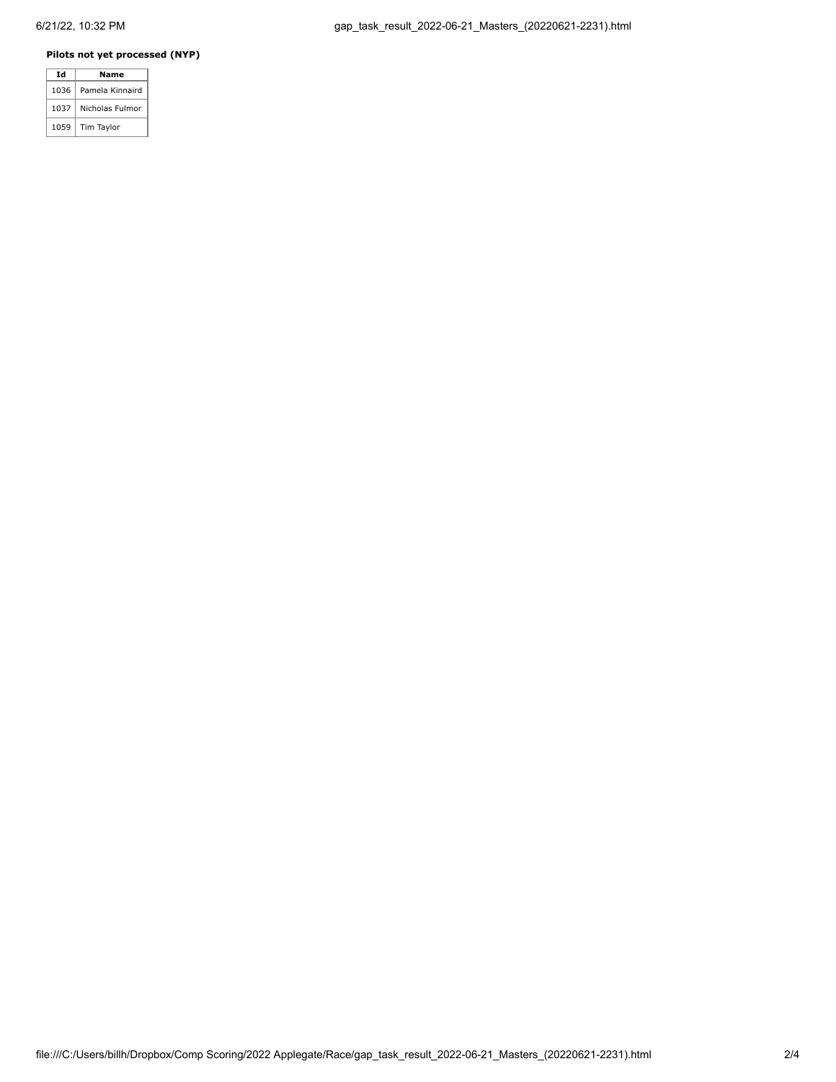### **Pilots not yet processed (NYP)**

| Id   | Name            |
|------|-----------------|
| 1036 | Pamela Kinnaird |
| 1037 | Nicholas Fulmor |
| 1059 | Tim Taylor      |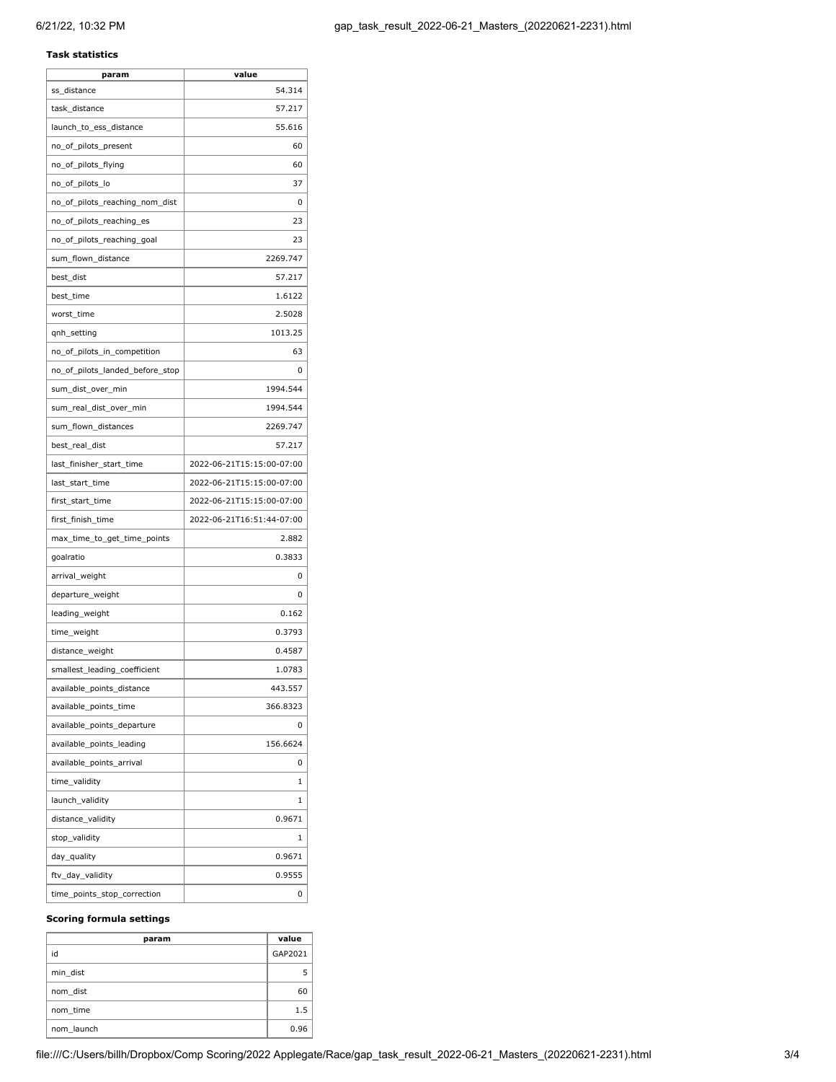### **Task statistics**

| param                           | value                     |
|---------------------------------|---------------------------|
| ss_distance                     | 54.314                    |
| task_distance                   | 57.217                    |
| launch_to_ess_distance          | 55.616                    |
| no_of_pilots_present            | 60                        |
| no_of_pilots_flying             | 60                        |
| no_of_pilots_lo                 | 37                        |
| no_of_pilots_reaching_nom_dist  | 0                         |
| no_of_pilots_reaching_es        | 23                        |
| no_of_pilots_reaching_goal      | 23                        |
| sum_flown_distance              | 2269.747                  |
| best_dist                       | 57.217                    |
| best_time                       | 1.6122                    |
| worst_time                      | 2.5028                    |
| qnh_setting                     | 1013.25                   |
| no_of_pilots_in_competition     | 63                        |
| no_of_pilots_landed_before_stop | 0                         |
| sum_dist_over_min               | 1994.544                  |
| sum_real_dist_over_min          | 1994.544                  |
| sum_flown_distances             | 2269.747                  |
| best_real_dist                  | 57.217                    |
| last_finisher_start_time        | 2022-06-21T15:15:00-07:00 |
| last_start_time                 | 2022-06-21T15:15:00-07:00 |
| first_start_time                | 2022-06-21T15:15:00-07:00 |
| first_finish_time               | 2022-06-21T16:51:44-07:00 |
| max_time_to_get_time_points     | 2.882                     |
| goalratio                       | 0.3833                    |
| arrival_weight                  | 0                         |
| departure_weight                | 0                         |
| leading_weight                  | 0.162                     |
| time_weight                     | 0.3793                    |
| distance_weight                 | 0.4587                    |
| smallest_leading_coefficient    | 1.0783                    |
| available_points_distance       | 443.557                   |
| available_points_time           | 366.8323                  |
| available_points_departure      | 0                         |
| available_points_leading        | 156.6624                  |
| available_points_arrival        | 0                         |
| time_validity                   | 1                         |
| launch_validity                 | 1                         |
| distance_validity               | 0.9671                    |
| stop_validity                   | 1                         |
| day_quality                     | 0.9671                    |
| ftv_day_validity                | 0.9555                    |
| time_points_stop_correction     | 0                         |
|                                 |                           |

#### **Scoring formula settings**

| param      | value   |
|------------|---------|
| id         | GAP2021 |
| min dist   |         |
| nom dist   | 60      |
| nom time   | 1.5     |
| nom launch | 0.96    |